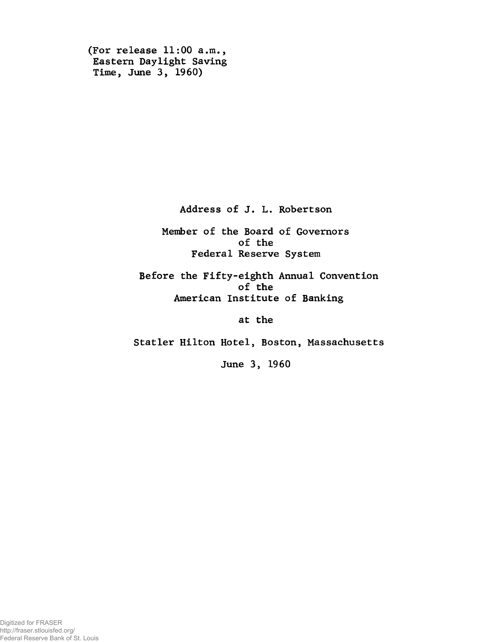```
(For release 11:00 a.m.,
Eastern Daylight Saving
Time, June 3, 1960)
```
**Address of J. L. Robertson**

**Member of the Board of Governors of the Federal Reserve System**

**Before the Fifty-eighth Annual Convention of the American Institute of Banking**

**at the**

**Statler Hilton Hotel, Boston, Massachusetts**

**June 3, 1960**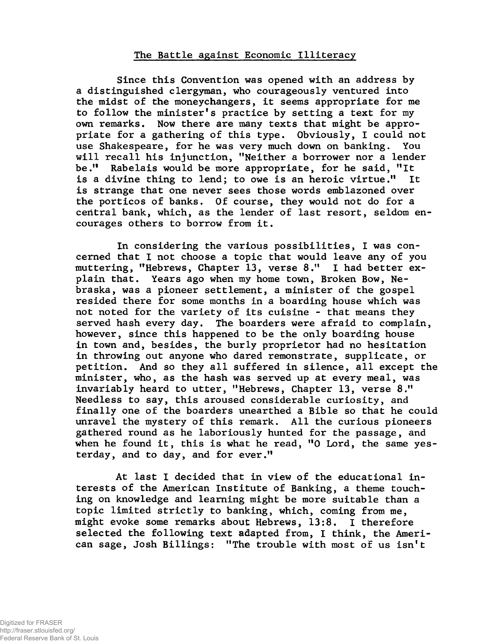## **The Battle against Economic Illiteracy**

**Since this Convention was opened with an address by a distinguished clergyman, who courageously ventured into the midst of the moneychangers, it seems appropriate for me to follow the minister's practice by setting a text for my own remarks. Now there are many texts that might be appropriate for a gathering of this type. Obviously, I could not use Shakespeare, for he was very much down on banking. You will recall his injunction, "Neither a borrower nor a lender be." Rabelais would be more appropriate, for he said, "It is a divine thing to lend; to owe is an heroic virtue." It is strange that one never sees those words emblazoned over the porticos of banks. Of course, they would not do for a central bank, which, as the lender of last resort, seldom encourages others to borrow from it.**

**In considering the various possibilities, I was concerned that I not choose a topic that would leave any of you muttering, "Hebrews, Chapter 13, verse 8." I had better explain that. Years ago when my home town, Broken Bow, Nebraska, was a pioneer settlement, a minister of the gospel resided there for some months in a boarding house which was not noted for the variety of its cuisine - that means they served hash every day. The boarders were afraid to complain, however, since this happened to be the only boarding house in town and, besides, the burly proprietor had no hesitation in throwing out anyone who dared remonstrate, supplicate, or petition. And so they all suffered in silence, all except the minister, who, as the hash was served up at every meal, was invariably heard to utter, "Hebrews, Chapter 13, verse 8." Needless to say, this aroused considerable curiosity, and finally one of the boarders unearthed a Bible so that he could unravel the mystery of this remark. All the curious pioneers gathered round as he laboriously hunted for the passage, and when he found it, this is what he read, "0 Lord, the same yesterday, and to day, and for ever."**

**At last I decided that in view of the educational interests of the American Institute of Banking, a theme touching on knowledge and learning might be more suitable than a topic limited strictly to banking, which, coming from me, might evoke some remarks about Hebrews, 13:8. I therefore selected the following text adapted from, I think, the American sage, Josh Billings: "The trouble with most of us isn't**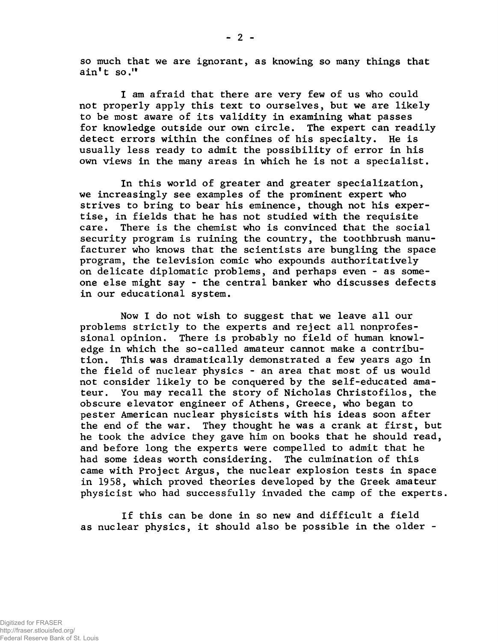**so much that we are ignorant, as knowing so many things that ain't so.1\***

**I am afraid that there are very few of us who could not properly apply this text to ourselves, but we are likely to be most aware of its validity in examining what passes for knowledge outside our own circle. The expert can readily detect errors within the confines of his specialty. He is usually less ready to admit the possibility of error in his own views in the many areas in which he is not a specialist.**

**In this world of greater and greater specialization, we increasingly see examples of the prominent expert who strives to bring to bear his eminence, though not his expertise, in fields that he has not studied with the requisite care. There is the chemist who is convinced that the social security program is ruining the country, the toothbrush manufacturer who knows that the scientists are bungling the space program, the television comic who expounds authoritatively on delicate diplomatic problems, and perhaps even - as someone else might say - the central banker who discusses defects in our educational system.**

**Now I do not wish to suggest that we leave all our problems strictly to the experts and reject all nonprofessional opinion. There is probably no field of human knowledge in which the so-called amateur cannot make a contribution. This was dramatically demonstrated a few years ago in the field of nuclear physics - an area that most of us would not consider likely to be conquered by the self-educated amateur. You may recall the story of Nicholas Christofilos, the obscure elevator engineer of Athens, Greece, who began to pester American nuclear physicists with his ideas soon after the end of the war. They thought he was a crank at first, but he took the advice they gave him on books that he should read, and before long the experts were compelled to admit that he had some ideas worth considering. The culmination of this came with Project Argus, the nuclear explosion tests in space in 1958, which proved theories developed by the Greek amateur physicist who had successfully invaded the camp of the experts.**

**If this can be done in so new and difficult a field as nuclear physics, it should also be possible in the older -**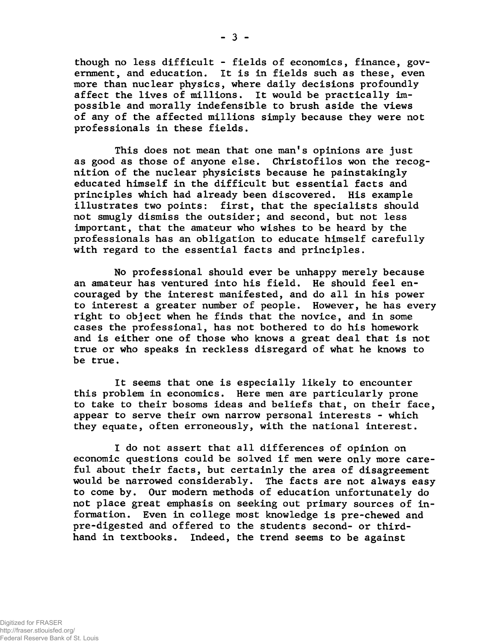**though no less difficult - fields of economics, finance, government, and education. It is in fields such as these, even more than nuclear physics, where daily decisions profoundly affect the lives of millions. It would be practically impossible and morally indefensible to brush aside the views of any of the affected millions simply because they were not professionals in these fields.**

**This does not mean that one man's opinions are just as good as those of anyone else. Christofilos won the recognition of the nuclear physicists because he painstakingly educated himself in the difficult but essential facts and principles which had already been discovered. His example illustrates two points: first, that the specialists should not smugly dismiss the outsider; and second, but not less important, that the amateur who wishes to be heard by the professionals has an obligation to educate himself carefully with regard to the essential facts and principles.**

**No professional should ever be unhappy merely because an amateur has ventured into his field. He should feel encouraged by the interest manifested, and do all in his power to interest a greater number of people. However, he has every right to object when he finds that the novice, and in some cases the professional, has not bothered to do his homework and is either one of those who knows a great deal that is not true or who speaks in reckless disregard of what he knows to be true.**

**It seems that one is especially likely to encounter this problem in economics. Here men are particularly prone to take to their bosoms ideas and beliefs that, on their face, appear to serve their own narrow personal interests - which they equate, often erroneously, with the national interest.**

**I do not assert that all differences of opinion on economic questions could be solved if men were only more careful about their facts, but certainly the area of disagreement would be narrowed considerably. The facts are not always easy to come by. Our modem methods of education unfortunately do not place great emphasis on seeking out primary sources of information. Even in college most knowledge is pre-chewed and pre-digested and offered to the students second- or thirdhand in textbooks. Indeed, the trend seems to be against**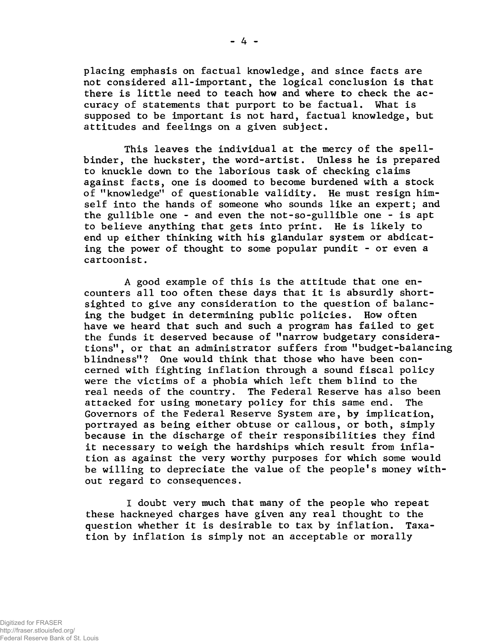**placing emphasis on factual knowledge, and since facts are not considered all-important, the logical conclusion is that there is little need to teach how and where to check the accuracy of statements that purport to be factual. What is supposed to be important is not hard, factual knowledge, but attitudes and feelings on a given subject.**

**This leaves the individual at the mercy of the spellbinder, the huckster, the word-artist. Unless he is prepared to knuckle down to the laborious task of checking claims against facts, one is doomed to become burdened with a stock of "knowledge" of questionable validity. He must resign himself into the hands of someone who sounds like an expert; and the gullible one - and even the not-so-gullible one - is apt to believe anything that gets into print. He is likely to end up either thinking with his glandular system or abdicating the power of thought to some popular pundit - or even a cartoonist.**

**A good example of this is the attitude that one encounters all too often these days that it is absurdly shortsighted to give any consideration to the question of balancing the budget in determining public policies. How often have we heard that such and such a program has failed to get the funds it deserved because of "narrow budgetary considerations", or that an administrator suffers from "budget-balancing blindness"? One would think that those who have been concerned with fighting inflation through a sound fiscal policy were the victims of a phobia which left them blind to the real needs of the country. The Federal Reserve has also been attacked for using monetary policy for this same end. The Governors of the Federal Reserve System are, by implication, portrayed as being either obtuse or callous, or both, simply because in the discharge of their responsibilities they find it necessary to weigh the hardships which result from inflation as against the very worthy purposes for which some would be willing to depreciate the value of the people's money without regard to consequences.**

**I doubt very much that many of the people who repeat these hackneyed charges have given any real thought to the question whether it is desirable to tax by inflation. Taxation by inflation is simply not an acceptable or morally**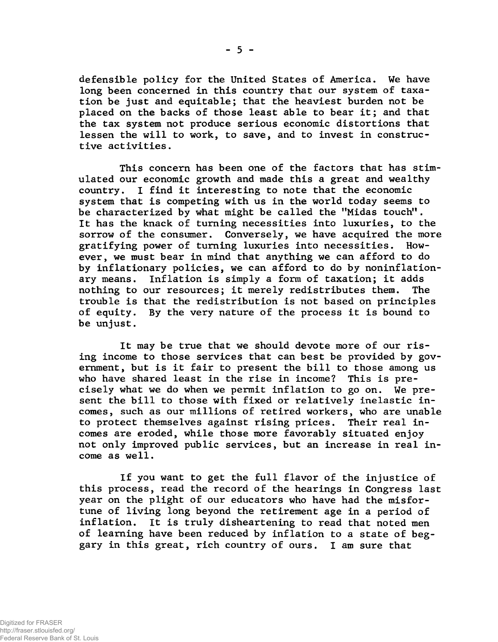**defensible policy for the United States of America. We have long been concerned in this country that our system of taxation be just and equitable; that the heaviest burden not be placed on the backs of those least able to bear it; and that the tax system not produce serious economic distortions that lessen the will to work, to save, and to invest in constructive activities.**

**This concern has been one of the factors that has stimulated our economic growth and made this a great and wealthy country. I find it interesting to note that the economic system that is competing with us in the world today seems to** be characterized by what might be called the "Midas touch". **It has the knack of turning necessities into luxuries, to the sorrow of the consumer. Conversely, we have acquired the more gratifying power of turning luxuries into necessities. However, we must bear in mind that anything we can afford to do by inflationary policies, we can afford to do by noninflationary means. Inflation is simply a form of taxation; it adds nothing to our resources; it merely redistributes them. The trouble is that the redistribution is not based on principles of equity. By the very nature of the process it is bound to be unjust.**

**It may be true that we should devote more of our rising income to those services that can best be provided by government, but is it fair to present the bill to those among us who have shared least in the rise in income? This is precisely what we do when we permit inflation to go on. We present the bill to those with fixed or relatively inelastic incomes, such as our millions of retired workers, who are unable to protect themselves against rising prices. Their real incomes are eroded, while those more favorably situated enjoy not only improved public services, but an increase in real income as well.**

**If you want to get the full flavor of the injustice of this process, read the record of the hearings in Congress last year on the plight of our educators who have had the misfortune of living long beyond the retirement age in a period of inflation. It is truly disheartening to read that noted men of learning have been reduced by inflation to a state of beggary in this great, rich country of ours. I am sure that**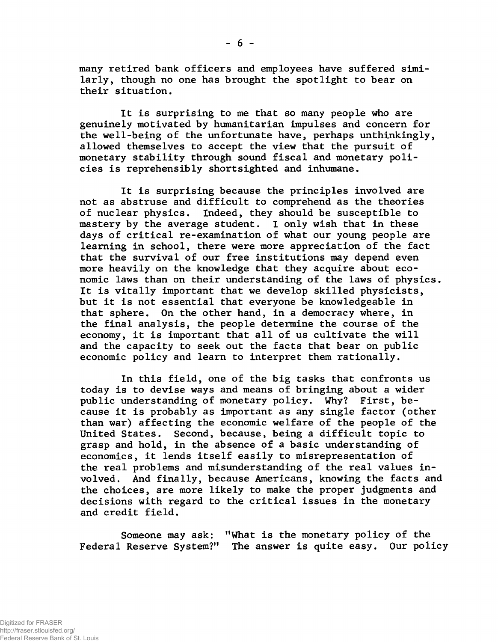**many retired bank officers and employees have suffered similarly, though no one has brought the spotlight to bear on their situation.**

**It is surprising to me that so many people who are genuinely motivated by humanitarian impulses and concern for the well-being of the unfortunate have, perhaps unthinkingly, allowed themselves to accept the view that the pursuit of monetary stability through sound fiscal and monetary policies is reprehensibly shortsighted and inhumane.**

**It is surprising because the principles involved are not as abstruse and difficult to comprehend as the theories of nuclear physics. Indeed, they should be susceptible to mastery by the average student. I only wish that in these days of critical re-examination of what our young people are learning in school, there were more appreciation of the fact that the survival of our free institutions may depend even more heavily on the knowledge that they acquire about economic laws than on their understanding of the laws of physics. It is vitally important that we develop skilled physicists, but it is not essential that everyone be knowledgeable in that sphere. On the other hand, in a democracy where, in the final analysis, the people determine the course of the economy, it is important that all of us cultivate the will and the capacity to seek out the facts that bear on public economic policy and learn to interpret them rationally.**

**In this field, one of the big tasks that confronts us today is to devise ways and means of bringing about a wider public understanding of monetary policy. Why? First, because it is probably as important as any single factor (other than war) affecting the economic welfare of the people of the United States. Second, because, being a difficult topic to grasp and hold, in the absence of a basic understanding of economics, it lends itself easily to misrepresentation of the real problems and misunderstanding of the real values involved. And finally, because Americans, knowing the facts and the choices, are more likely to make the proper judgments and decisions with regard to the critical issues in the monetary and credit field.**

**Someone may ask: "What is the monetary policy of the Federal Reserve System?" The answer is quite easy. Our policy**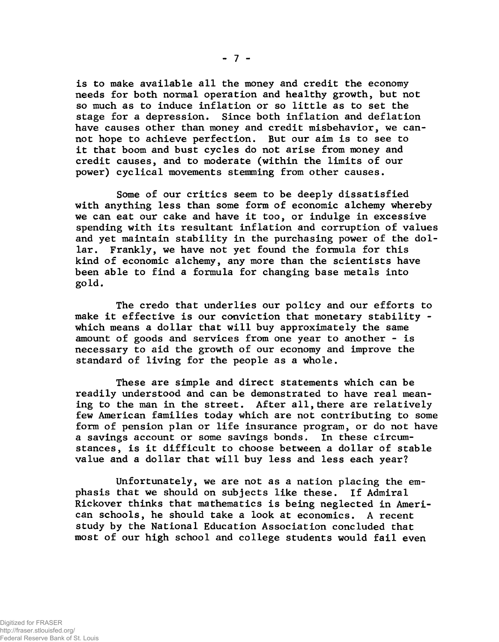**is to make available all the money and credit the economy needs for both normal operation and healthy growth, but not so much as to induce inflation or so little as to set the stage for a depression. Since both inflation and deflation have causes other than money and credit misbehavior, we cannot hope to achieve perfection. But our aim is to see to it that boom and bust cycles do not arise from money and credit causes, and to moderate (within the limits of our power) cyclical movements stemming from other causes.**

**Some of our critics seem to be deeply dissatisfied with anything less than some form of economic alchemy whereby we can eat our cake and have it too, or indulge in excessive spending with its resultant inflation and corruption of values and yet maintain stability in the purchasing power of the dollar. Frankly, we have not yet found the formula for this kind of economic alchemy, any more than the scientists have been able to find a formula for changing base metals into gold.**

**The credo that underlies our policy and our efforts to make it effective is our conviction that monetary stability which means a dollar that will buy approximately the same amount of goods and services from one year to another - is necessary to aid the growth of our economy and improve the standard of living for the people as a whole.**

**These are simple and direct statements which can be readily understood and can be demonstrated to have real mean**ing to the man in the street. After all, there are relatively **few American families today which are not contributing to some form of pension plan or life insurance program, or do not have a savings account or some savings bonds. In these circumstances, is it difficult to choose between a dollar of stable value and a dollar that will buy less and less each year?**

**Unfortunately, we are not as a nation placing the emphasis that we should on subjects like these. If Admiral Rickover thinks that mathematics is being neglected in American schools, he should take a look at economics. A recent study by the National Education Association concluded that most of our high school and college students would fail even**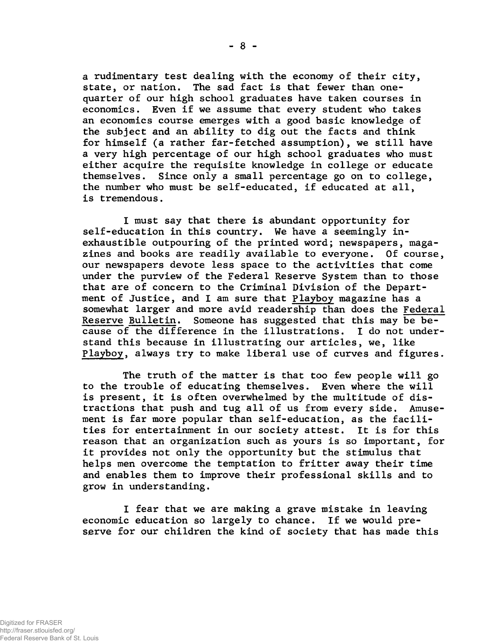**a rudimentary test dealing with the economy of their city, state, or nation. The sad fact is that fewer than onequarter of our high school graduates have taken courses in economics. Even if we assume that every student who takes an economics course emerges with a good basic knowledge of the subject and an ability to dig out the facts and think for himself (a rather far-fetched assumption), we still have a very high percentage of our high school graduates who must either acquire the requisite knowledge in college or educate themselves. Since only a small percentage go on to college, the number who must be self-educated, if educated at all, is tremendous.**

**I must say that there is abundant opportunity for self-education in this country. We have a seemingly inexhaustible outpouring of the printed word; newspapers, magazines and books are readily available to everyone. Of course, our newspapers devote less space to the activities that come under the purview of the Federal Reserve System than to those that are of concern to the Criminal Division of the Department of Justice, and I am sure that Playboy magazine has a somewhat larger and more avid readership than does the Federal Reserve Bulletin. Someone has suggested that this may be because of the difference in the illustrations. I do not understand this because in illustrating our articles, we, like Playboy, always try to make liberal use of curves and figures.**

**The truth of the matter is that too few people will go to the trouble of educating themselves. Even where the will is present, it is often overwhelmed by the multitude of distractions that push and tug all of us from every side. Amusement is far more popular than self-education, as the facilities for entertainment in our society attest. It is for this reason that an organization such as yours is so important, for it provides not only the opportunity but the stimulus that helps men overcome the temptation to fritter away their time and enables them to improve their professional skills and to grow in understanding.**

**I fear that we are making a grave mistake in leaving economic education so largely to chance. If we would preserve for our children the kind of society that has made this**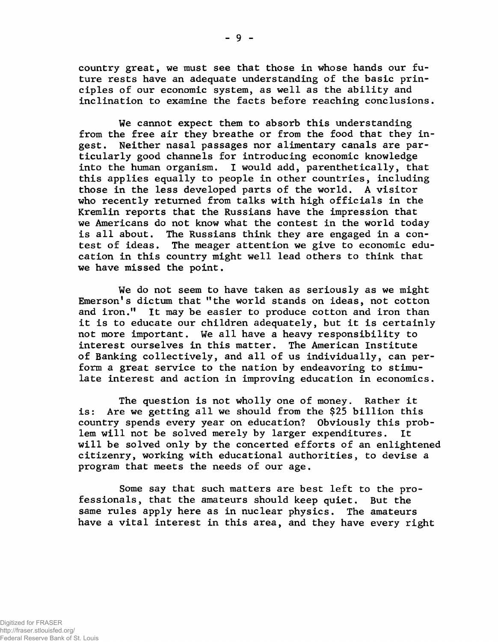**country great, we must see that those in whose hands our future rests have an adequate understanding of the basic principles of our economic system, as well as the ability and inclination to examine the facts before reaching conclusions.**

**We cannot expect them to absorb this understanding from the free air they breathe or from the food that they ingest. Neither nasal passages nor alimentary canals are particularly good channels for introducing economic knowledge into the human organism. I would add, parenthetically, that this applies equally to people in other countries, including those in the less developed parts of the world. A visitor who recently returned from talks with high officials in the Kremlin reports that the Russians have the impression that we Americans do not know what the contest in the world today is all about. The Russians think they are engaged in a contest of ideas. The meager attention we give to economic education in this country might well lead others to think that we have missed the point.**

**We do not seem to have taken as seriously as we might Emerson's dictum that "the world stands on ideas, not cotton and iron." It may be easier to produce cotton and iron than it is to educate our children adequately, but it is certainly not more important. We all have a heavy responsibility to interest ourselves in this matter. The American Institute of Banking collectively, and all of us individually, can perform a great service to the nation by endeavoring to stimulate interest and action in improving education in economics.**

**The question is not wholly one of money. Rather it is: Are we getting all we should from the \$25 billion this country spends every year on education? Obviously this problem will not be solved merely by larger expenditures. It will be solved only by the concerted efforts of an enlightened citizenry, working with educational authorities, to devise a program that meets the needs of our age.**

**Some say that such matters are best left to the professionals, that the amateurs should keep quiet. But the same rules apply here as in nuclear physics. The amateurs have a vital interest in this area, and they have every right**